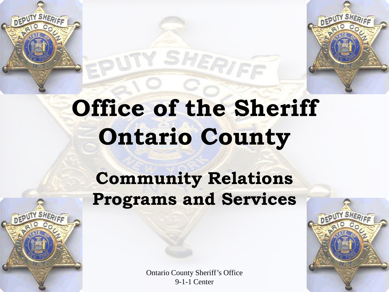## **Office of the Sheriff Ontario County**

TY SHERIFF

#### **Community Relations Programs and Services**

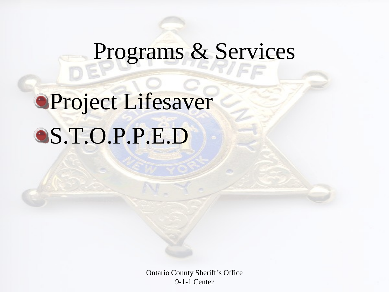## Programs & Services

## Project Lifesaver S.T.O.P.P.E.D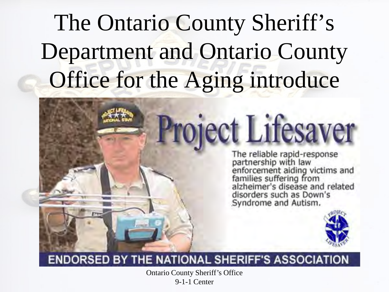## The Ontario County Sheriff's Department and Ontario County Office for the Aging introduce

# **Project Lifesaver**

The reliable rapid-response<br>partnership with law<br>enforcement aiding victims and<br>families suffering from<br>alzheimer's disease and related<br>disorders such as Down's Syndrome and Autism.



#### **ENDORSED BY THE NATIONAL SHERIFF'S ASSOCIATION**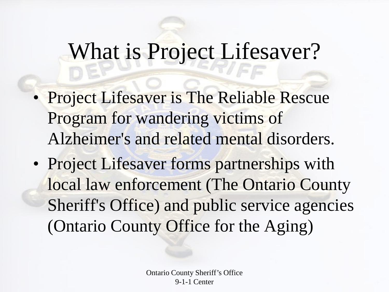#### What is Project Lifesaver?

- Project Lifesaver is The Reliable Rescue Program for wandering victims of Alzheimer's and related mental disorders.
- Project Lifesaver forms partnerships with local law enforcement (The Ontario County Sheriff's Office) and public service agencies (Ontario County Office for the Aging)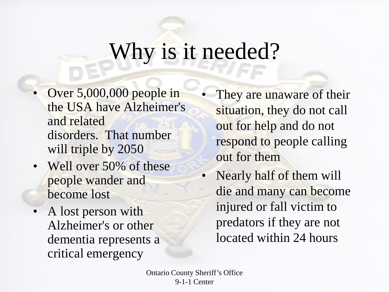#### Why is it needed?

- Over 5,000,000 people in the USA have Alzheimer's and related disorders. That number will triple by 2050
- Well over 50% of these people wander and become lost
- A lost person with Alzheimer's or other dementia represents a critical emergency
- They are unaware of their situation, they do not call out for help and do not respond to people calling out for them
- Nearly half of them will die and many can become injured or fall victim to predators if they are not located within 24 hours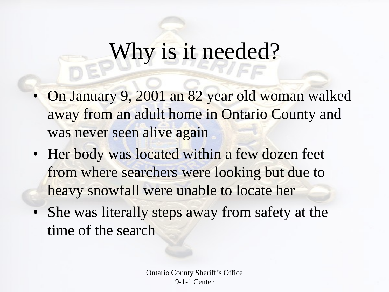#### Why is it needed?

- On January 9, 2001 an 82 year old woman walked away from an adult home in Ontario County and was never seen alive again
- Her body was located within a few dozen feet from where searchers were looking but due to heavy snowfall were unable to locate her
- She was literally steps away from safety at the time of the search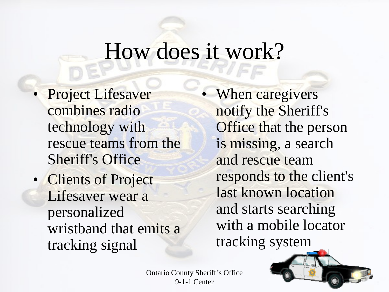#### How does it work?

- Project Lifesaver combines radio technology with rescue teams from the Sheriff's Office
- Clients of Project Lifesaver wear a personalized wristband that emits a tracking signal

When caregivers notify the Sheriff's Office that the person is missing, a search and rescue team responds to the client's last known location and starts searching with a mobile locator tracking system

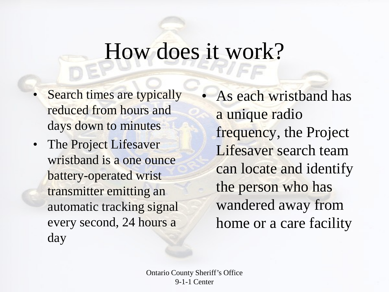#### How does it work?

- Search times are typically reduced from hours and days down to minutes
- The Project Lifesaver wristband is a one ounce battery-operated wrist transmitter emitting an automatic tracking signal every second, 24 hours a day

• As each wristband has a unique radio frequency, the Project Lifesaver search team can locate and identify the person who has wandered away from home or a care facility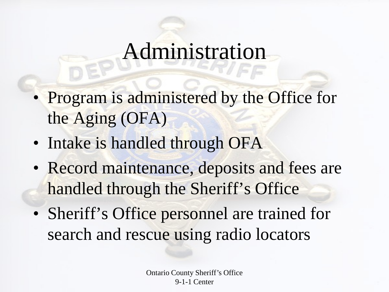#### Administration

- Program is administered by the Office for the Aging (OFA)
- Intake is handled through OFA
- Record maintenance, deposits and fees are handled through the Sheriff's Office
- Sheriff's Office personnel are trained for search and rescue using radio locators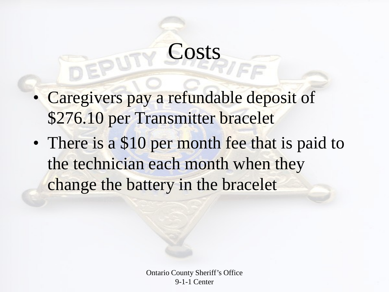### **Costs**

- Caregivers pay a refundable deposit of \$276.10 per Transmitter bracelet
- There is a \$10 per month fee that is paid to the technician each month when they change the battery in the bracelet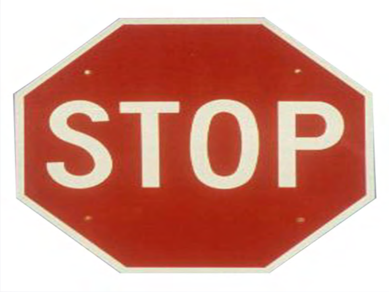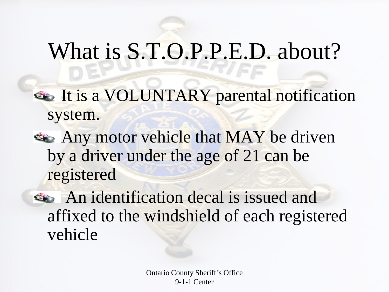#### What is S.T.O.P.P.E.D. about?

- It is a VOLUNTARY parental notification system.
- Any motor vehicle that MAY be driven by a driver under the age of 21 can be registered
- An identification decal is issued and affixed to the windshield of each registered vehicle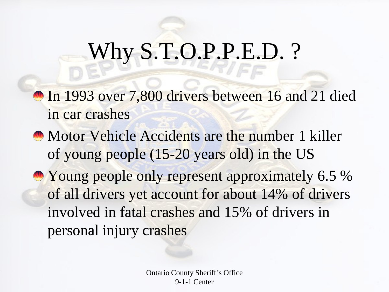#### Why S.T.O.P.P.E.D.?

**In 1993 over 7,800 drivers between 16 and 21 died** in car crashes

**Motor Vehicle Accidents are the number 1 killer** of young people (15-20 years old) in the US

**• Young people only represent approximately 6.5 %** of all drivers yet account for about 14% of drivers involved in fatal crashes and 15% of drivers in personal injury crashes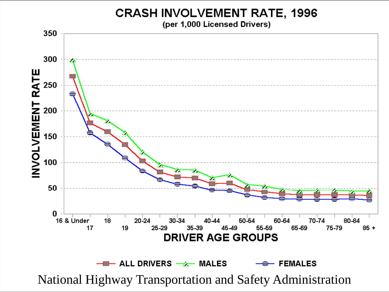**CRASH INVOLVEMENT RATE, 1996** 

(per 1,000 Licensed Drivers)

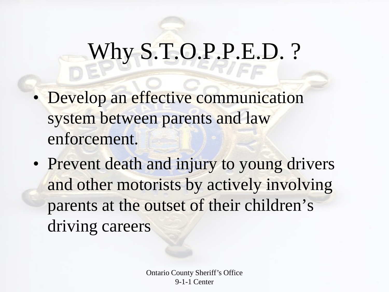### Why S.T.O.P.P.E.D. ?

- Develop an effective communication system between parents and law enforcement.
- Prevent death and injury to young drivers and other motorists by actively involving parents at the outset of their children's driving careers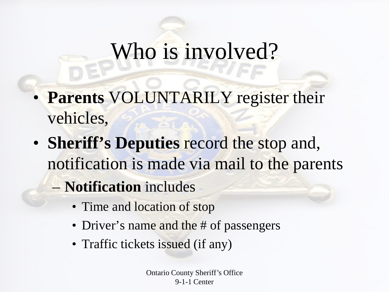#### Who is involved?

- **Parents** VOLUNTARILY register their vehicles,
- **Sheriff's Deputies** record the stop and, notification is made via mail to the parents
	- **Notification** includes
		- Time and location of stop
		- Driver's name and the # of passengers
		- Traffic tickets issued (if any)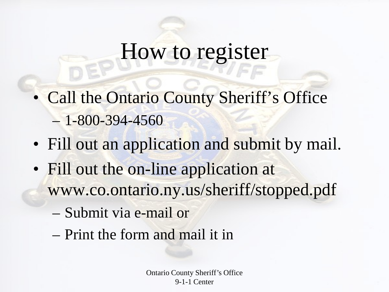#### How to register

- Call the Ontario County Sheriff's Office  $-1 - 800 - 394 - 4560$
- Fill out an application and submit by mail.
- Fill out the on-line application at www.co.ontario.ny.us/sheriff/stopped.pdf
	- Submit via e-mail or
	- Print the form and mail it in